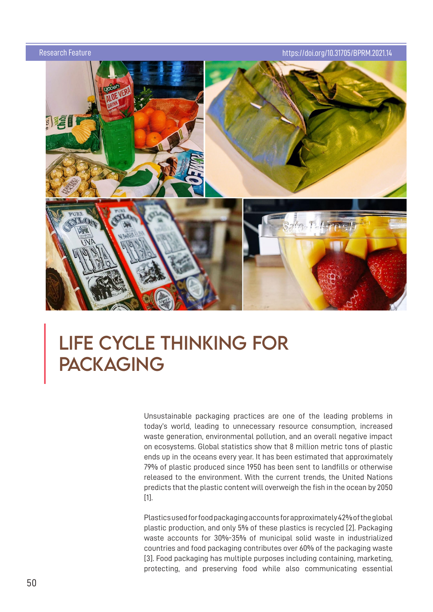

# LiFE CYCLE THiNKiNG FOR **PACKAGING**

Unsustainable packaging practices are one of the leading problems in today's world, leading to unnecessary resource consumption, increased waste generation, environmental pollution, and an overall negative impact on ecosystems. Global statistics show that 8 million metric tons of plastic ends up in the oceans every year. It has been estimated that approximately 79% of plastic produced since 1950 has been sent to landfills or otherwise released to the environment. With the current trends, the United Nations predicts that the plastic content will overweigh the fish in the ocean by 2050 [1].

Plastics used for food packaging accounts for approximately 42% of the global plastic production, and only 5% of these plastics is recycled [2]. Packaging waste accounts for 30%-35% of municipal solid waste in industrialized countries and food packaging contributes over 60% of the packaging waste [3]. Food packaging has multiple purposes including containing, marketing, protecting, and preserving food while also communicating essential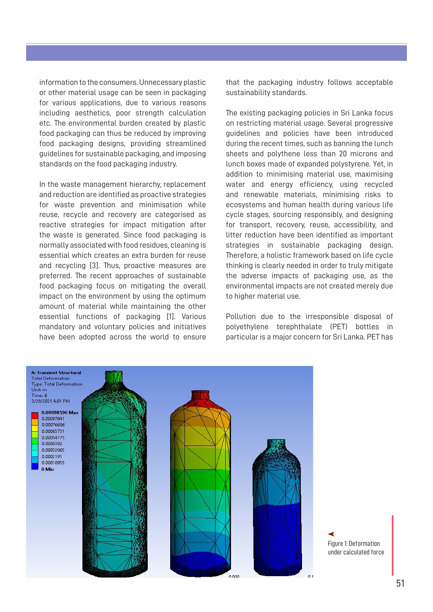information to the consumers. Unnecessary plastic or other material usage can be seen in packaging for various applications, due to various reasons including aesthetics, poor strength calculation etc. The environmental burden created by plastic food packaging can thus be reduced by improving food packaging designs, providing streamlined guidelines for sustainable packaging, and imposing standards on the food packaging industry.

In the waste management hierarchy, replacement and reduction are identified as proactive strategies for waste prevention and minimisation while reuse, recycle and recovery are categorised as reactive strategies for impact mitigation after the waste is generated. Since food packaging is normally associated with food residues, cleaning is essential which creates an extra burden for reuse and recycling [3]. Thus, proactive measures are preferred. The recent approaches of sustainable food packaging focus on mitigating the overall impact on the environment by using the optimum amount of material while maintaining the other essential functions of packaging [1]. Various mandatory and voluntary policies and initiatives have been adopted across the world to ensure

that the packaging industry follows acceptable sustainability standards.

The existing packaging policies in Sri Lanka focus on restricting material usage. Several progressive guidelines and policies have been introduced during the recent times, such as banning the lunch sheets and polythene less than 20 microns and lunch boxes made of expanded polystyrene. Yet, in addition to minimising material use, maximising water and energy efficiency, using recycled and renewable materials, minimising risks to ecosystems and human health during various life cycle stages, sourcing responsibly, and designing for transport, recovery, reuse, accessibility, and litter reduction have been identified as important strategies in sustainable packaging design. Therefore, a holistic framework based on life cycle thinking is clearly needed in order to truly mitigate the adverse impacts of packaging use, as the environmental impacts are not created merely due to higher material use.

Pollution due to the irresponsible disposal of polyethylene terephthalate (PET) bottles in particular is a major concern for Sri Lanka. PET has